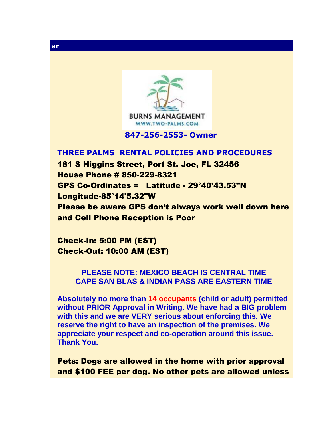

 **847-256-2553- Owner** 

## **THREE PALMS RENTAL POLICIES AND PROCEDURES**

181 S Higgins Street, Port St. Joe, FL 32456 House Phone # 850-229-8321 GPS Co-Ordinates = Latitude - 29°40'43.53"N Longitude-85°14'5.32"W Please be aware GPS don't always work well down here and Cell Phone Reception is Poor

Check-In: 5:00 PM (EST) Check-Out: 10:00 AM (EST)

## **PLEASE NOTE: MEXICO BEACH IS CENTRAL TIME CAPE SAN BLAS & INDIAN PASS ARE EASTERN TIME**

**Absolutely no more than 14 occupants (child or adult) permitted without PRIOR Approval in Writing. We have had a BIG problem with this and we are VERY serious about enforcing this. We reserve the right to have an inspection of the premises. We appreciate your respect and co-operation around this issue. Thank You.**

Pets: Dogs are allowed in the home with prior approval and \$100 FEE per dog. No other pets are allowed unless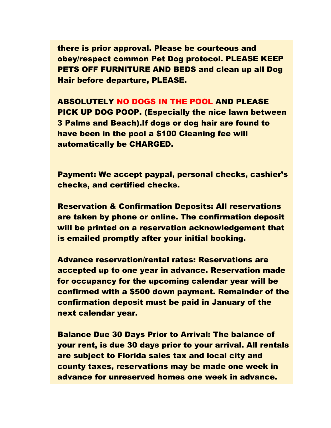there is prior approval. Please be courteous and obey/respect common Pet Dog protocol. PLEASE KEEP PETS OFF FURNITURE AND BEDS and clean up all Dog Hair before departure, PLEASE.

ABSOLUTELY NO DOGS IN THE POOL AND PLEASE PICK UP DOG POOP. (Especially the nice lawn between 3 Palms and Beach).If dogs or dog hair are found to have been in the pool a \$100 Cleaning fee will automatically be CHARGED.

Payment: We accept paypal, personal checks, cashier's checks, and certified checks.

Reservation & Confirmation Deposits: All reservations are taken by phone or online. The confirmation deposit will be printed on a reservation acknowledgement that is emailed promptly after your initial booking.

Advance reservation/rental rates: Reservations are accepted up to one year in advance. Reservation made for occupancy for the upcoming calendar year will be confirmed with a \$500 down payment. Remainder of the confirmation deposit must be paid in January of the next calendar year.

Balance Due 30 Days Prior to Arrival: The balance of your rent, is due 30 days prior to your arrival. All rentals are subject to Florida sales tax and local city and county taxes, reservations may be made one week in advance for unreserved homes one week in advance.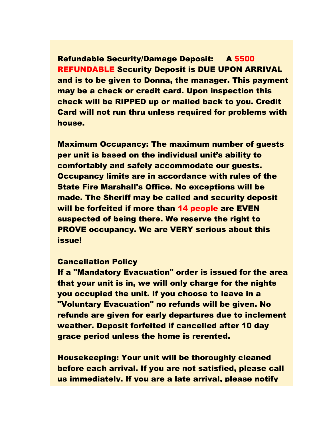Refundable Security/Damage Deposit: A \$500 REFUNDABLE Security Deposit is DUE UPON ARRIVAL and is to be given to Donna, the manager. This payment may be a check or credit card. Upon inspection this check will be RIPPED up or mailed back to you. Credit Card will not run thru unless required for problems with house.

Maximum Occupancy: The maximum number of guests per unit is based on the individual unit's ability to comfortably and safely accommodate our guests. Occupancy limits are in accordance with rules of the State Fire Marshall's Office. No exceptions will be made. The Sheriff may be called and security deposit will be forfeited if more than 14 people are EVEN suspected of being there. We reserve the right to PROVE occupancy. We are VERY serious about this issue!

## Cancellation Policy

If a "Mandatory Evacuation" order is issued for the area that your unit is in, we will only charge for the nights you occupied the unit. If you choose to leave in a "Voluntary Evacuation" no refunds will be given. No refunds are given for early departures due to inclement weather. Deposit forfeited if cancelled after 10 day grace period unless the home is rerented.

Housekeeping: Your unit will be thoroughly cleaned before each arrival. If you are not satisfied, please call us immediately. If you are a late arrival, please notify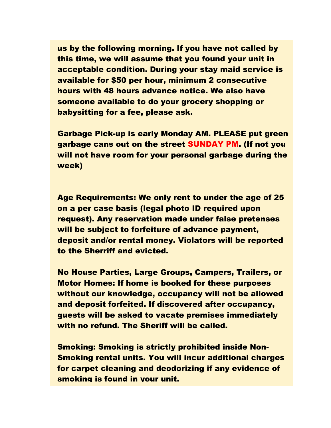us by the following morning. If you have not called by this time, we will assume that you found your unit in acceptable condition. During your stay maid service is available for \$50 per hour, minimum 2 consecutive hours with 48 hours advance notice. We also have someone available to do your grocery shopping or babysitting for a fee, please ask.

Garbage Pick-up is early Monday AM. PLEASE put green garbage cans out on the street SUNDAY PM. (If not you will not have room for your personal garbage during the week)

Age Requirements: We only rent to under the age of 25 on a per case basis (legal photo ID required upon request). Any reservation made under false pretenses will be subject to forfeiture of advance payment, deposit and/or rental money. Violators will be reported to the Sherriff and evicted.

No House Parties, Large Groups, Campers, Trailers, or Motor Homes: If home is booked for these purposes without our knowledge, occupancy will not be allowed and deposit forfeited. If discovered after occupancy, guests will be asked to vacate premises immediately with no refund. The Sheriff will be called.

Smoking: Smoking is strictly prohibited inside Non-Smoking rental units. You will incur additional charges for carpet cleaning and deodorizing if any evidence of smoking is found in your unit.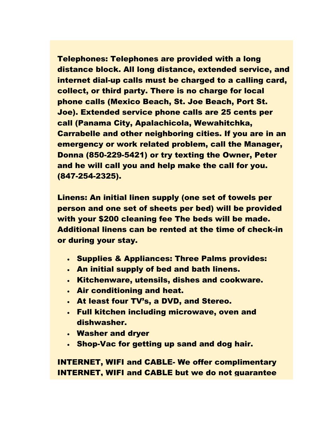Telephones: Telephones are provided with a long distance block. All long distance, extended service, and internet dial-up calls must be charged to a calling card, collect, or third party. There is no charge for local phone calls (Mexico Beach, St. Joe Beach, Port St. Joe). Extended service phone calls are 25 cents per call (Panama City, Apalachicola, Wewahitchka, Carrabelle and other neighboring cities. If you are in an emergency or work related problem, call the Manager, Donna (850-229-5421) or try texting the Owner, Peter and he will call you and help make the call for you. (847-254-2325).

Linens: An initial linen supply (one set of towels per person and one set of sheets per bed) will be provided with your \$200 cleaning fee The beds will be made. Additional linens can be rented at the time of check-in or during your stay.

- Supplies & Appliances: Three Palms provides:
- An initial supply of bed and bath linens.
- Kitchenware, utensils, dishes and cookware.
- Air conditioning and heat.
- At least four TV's, a DVD, and Stereo.
- Full kitchen including microwave, oven and dishwasher.
- Washer and dryer
- Shop-Vac for getting up sand and dog hair.

INTERNET, WIFI and CABLE- We offer complimentary INTERNET, WIFI and CABLE but we do not guarantee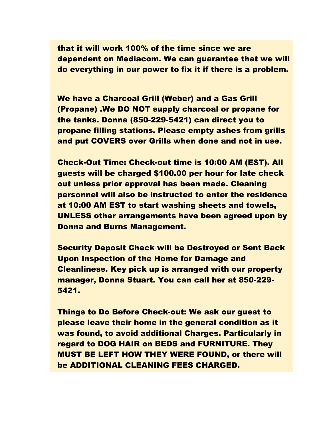that it will work 100% of the time since we are dependent on Mediacom. We can guarantee that we will do everything in our power to fix it if there is a problem.

We have a Charcoal Grill (Weber) and a Gas Grill (Propane) .We DO NOT supply charcoal or propane for the tanks. Donna (850-229-5421) can direct you to propane filling stations. Please empty ashes from grills and put COVERS over Grills when done and not in use.

Check-Out Time: Check-out time is 10:00 AM (EST). All guests will be charged \$100.00 per hour for late check out unless prior approval has been made. Cleaning personnel will also be instructed to enter the residence at 10:00 AM EST to start washing sheets and towels, UNLESS other arrangements have been agreed upon by Donna and Burns Management.

Security Deposit Check will be Destroyed or Sent Back Upon Inspection of the Home for Damage and Cleanliness. Key pick up is arranged with our property manager, Donna Stuart. You can call her at 850-229- 5421.

Things to Do Before Check-out: We ask our guest to please leave their home in the general condition as it was found, to avoid additional Charges. Particularly in regard to DOG HAIR on BEDS and FURNITURE. They MUST BE LEFT HOW THEY WERE FOUND, or there will be ADDITIONAL CLEANING FEES CHARGED.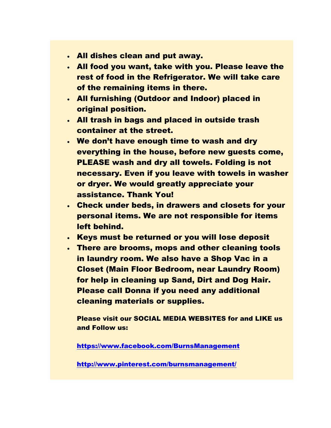- All dishes clean and put away.
- All food you want, take with you. Please leave the rest of food in the Refrigerator. We will take care of the remaining items in there.
- All furnishing (Outdoor and Indoor) placed in original position.
- All trash in bags and placed in outside trash container at the street.
- We don't have enough time to wash and dry everything in the house, before new guests come, PLEASE wash and dry all towels. Folding is not necessary. Even if you leave with towels in washer or dryer. We would greatly appreciate your assistance. Thank You!
- Check under beds, in drawers and closets for your personal items. We are not responsible for items left behind.
- Keys must be returned or you will lose deposit
- There are brooms, mops and other cleaning tools in laundry room. We also have a Shop Vac in a Closet (Main Floor Bedroom, near Laundry Room) for help in cleaning up Sand, Dirt and Dog Hair. Please call Donna if you need any additional cleaning materials or supplies.

Please visit our SOCIAL MEDIA WEBSITES for and LIKE us and Follow us:

<https://www.facebook.com/BurnsManagement>

<http://www.pinterest.com/burnsmanagement/>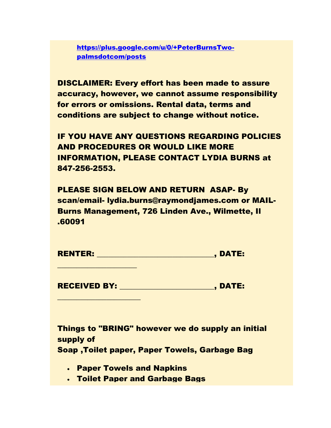[https://plus.google.com/u/0/+PeterBurnsTwo](https://plus.google.com/u/0/+PeterBurnsTwo-palmsdotcom/posts)[palmsdotcom/posts](https://plus.google.com/u/0/+PeterBurnsTwo-palmsdotcom/posts)

DISCLAIMER: Every effort has been made to assure accuracy, however, we cannot assume responsibility for errors or omissions. Rental data, terms and conditions are subject to change without notice.

IF YOU HAVE ANY QUESTIONS REGARDING POLICIES AND PROCEDURES OR WOULD LIKE MORE INFORMATION, PLEASE CONTACT LYDIA BURNS at 847-256-2553.

PLEASE SIGN BELOW AND RETURN ASAP- By scan/email- lydia.burns@raymondjames.com or MAIL-Burns Management, 726 Linden Ave., Wilmette, Il .60091

RECEIVED BY: The state of the state of the state of the state of the state of the state of the state of the state of the state of the state of the state of the state of the state of the state of the state of the state of t

Things to "BRING" however we do supply an initial supply of

Soap ,Toilet paper, Paper Towels, Garbage Bag

Paper Towels and Napkins

 $\overline{\phantom{a}}$  , where  $\overline{\phantom{a}}$  , where  $\overline{\phantom{a}}$ 

 $\overline{\phantom{a}}$  , where  $\overline{\phantom{a}}$  , where  $\overline{\phantom{a}}$  , where  $\overline{\phantom{a}}$ 

Toilet Paper and Garbage Bags